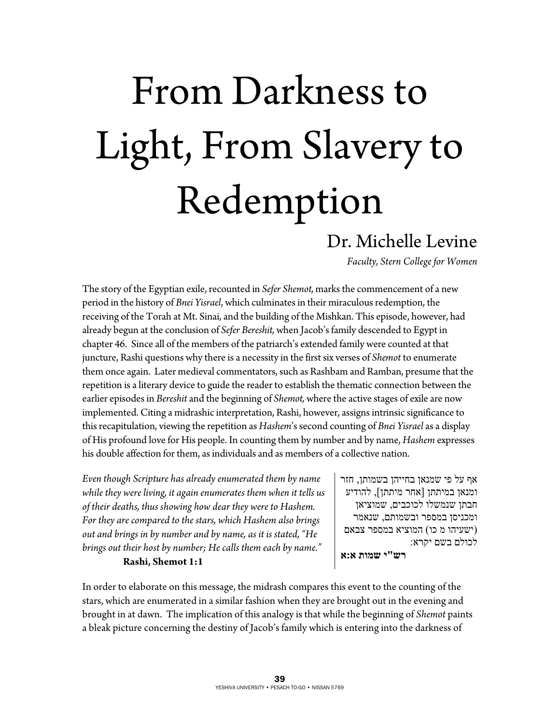# From Darkness to Light, From Slavery to Redemption

## Dr. Michelle Levine

*Faculty, Stern College for Women* 

The story of the Egyptian exile, recounted in *Sefer Shemot,* marks the commencement of a new period in the history of *Bnei Yisrael*, which culminates in their miraculous redemption, the receiving of the Torah at Mt. Sinai, and the building of the Mishkan. This episode, however, had already begun at the conclusion of *Sefer Bereshit,* when Jacob's family descended to Egypt in chapter 46. Since all of the members of the patriarch's extended family were counted at that juncture, Rashi questions why there is a necessity in the first six verses of *Shemot* to enumerate them once again. Later medieval commentators, such as Rashbam and Ramban, presume that the repetition is a literary device to guide the reader to establish the thematic connection between the earlier episodes in *Bereshit* and the beginning of *Shemot,* where the active stages of exile are now implemented. Citing a midrashic interpretation, Rashi, however, assigns intrinsic significance to this recapitulation, viewing the repetition as *Hashem*'s second counting of *Bnei Yisrael* as a display of His profound love for His people. In counting them by number and by name, *Hashem* expresses his double affection for them, as individuals and as members of a collective nation.

*Even though Scripture has already enumerated them by name while they were living, it again enumerates them when it tells us of their deaths, thus showing how dear they were to Hashem. For they are compared to the stars, which Hashem also brings out and brings in by number and by name, as it is stated, "He brings out their host by number; He calls them each by name."* 

#### **Rashi, Shemot 1:1**

אף על פי שמנאן בחייהן בשמותן, חזר ומנאן במיתתן [אחר מיתתן], להודיע חבתן שנמשלו לכוכבים, שמוציאן ומכניסן במספר ובשמותם, שנאמר (ישעיהו מ כו) המוציא במספר צבאם לכולם בשם יקרא:  **רש"י שמות א:א**

In order to elaborate on this message, the midrash compares this event to the counting of the stars, which are enumerated in a similar fashion when they are brought out in the evening and brought in at dawn. The implication of this analogy is that while the beginning of *Shemot* paints a bleak picture concerning the destiny of Jacob's family which is entering into the darkness of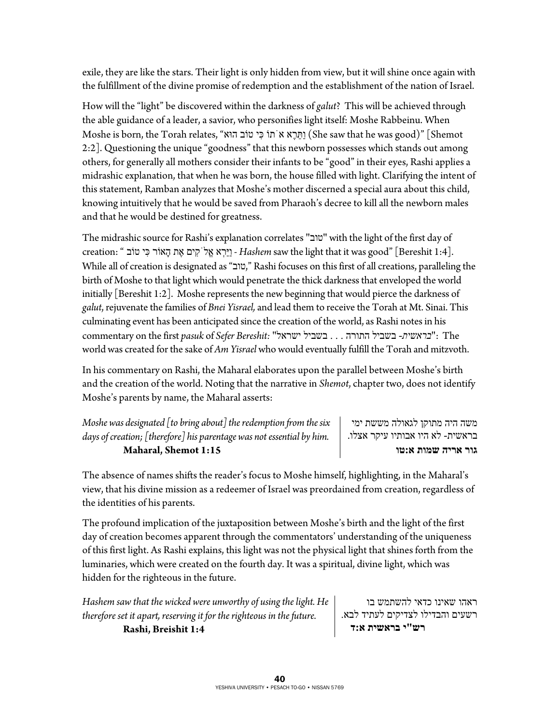exile, they are like the stars. Their light is only hidden from view, but it will shine once again with the fulfillment of the divine promise of redemption and the establishment of the nation of Israel.

How will the "light" be discovered within the darkness of *galut*? This will be achieved through the able guidance of a leader, a savior, who personifies light itself: Moshe Rabbeinu. When Moshe is born, the Torah relates, "הוּא טוֹב יִכּ תוֹֹא אֶרֵתַּו) She saw that he was good)" [Shemot 2:2]. Questioning the unique "goodness" that this newborn possesses which stands out among others, for generally all mothers consider their infants to be "good" in their eyes, Rashi applies a midrashic explanation, that when he was born, the house filled with light. Clarifying the intent of this statement, Ramban analyzes that Moshe's mother discerned a special aura about this child, knowing intuitively that he would be saved from Pharaoh's decree to kill all the newborn males and that he would be destined for greatness.

The midrashic source for Rashi's explanation correlates "טוב "with the light of the first day of .[1:4 Bereshit" [good was it that light the saw *Hashem* - וַיַּרְא אֱלֹקִים אֶת הָאוֹר כִּי טוֹב " :creation While all of creation is designated as "טוב, "Rashi focuses on this first of all creations, paralleling the birth of Moshe to that light which would penetrate the thick darkness that enveloped the world initially [Bereshit 1:2]. Moshe represents the new beginning that would pierce the darkness of *galut*, rejuvenate the families of *Bnei Yisrael,* and lead them to receive the Torah at Mt. Sinai. This culminating event has been anticipated since the creation of the world, as Rashi notes in his commentary on the first *pasuk* of *Sefer Bereshit:* "ישראל בשביל . . . התורה בשביל -*בראשית*": The world was created for the sake of *Am Yisrael* who would eventually fulfill the Torah and mitzvoth.

In his commentary on Rashi, the Maharal elaborates upon the parallel between Moshe's birth and the creation of the world. Noting that the narrative in *Shemot*, chapter two, does not identify Moshe's parents by name, the Maharal asserts:

| Moshe was designated $\lceil$ to bring about $\rceil$ the redemption from the six |  |
|-----------------------------------------------------------------------------------|--|
| days of creation; [therefore] his parentage was not essential by him.             |  |
| Maharal, Shemot 1:15                                                              |  |

משה היה מתוקן לגאולה מששת ימי בראשית- לא היו אבותיו עיקר אצלו. **גור אריה שמות א:טו**

The absence of names shifts the reader's focus to Moshe himself, highlighting, in the Maharal's view, that his divine mission as a redeemer of Israel was preordained from creation, regardless of the identities of his parents.

The profound implication of the juxtaposition between Moshe's birth and the light of the first day of creation becomes apparent through the commentators' understanding of the uniqueness of this first light. As Rashi explains, this light was not the physical light that shines forth from the luminaries, which were created on the fourth day. It was a spiritual, divine light, which was hidden for the righteous in the future.

*Hashem saw that the wicked were unworthy of using the light. He therefore set it apart, reserving it for the righteous in the future.*   **Rashi, Breishit 1:4** 

ראהו שאינו כדאי להשתמש בו רשעים והבדילו לצדיקים לעתיד לבא.  **רש"י בראשית א:ד**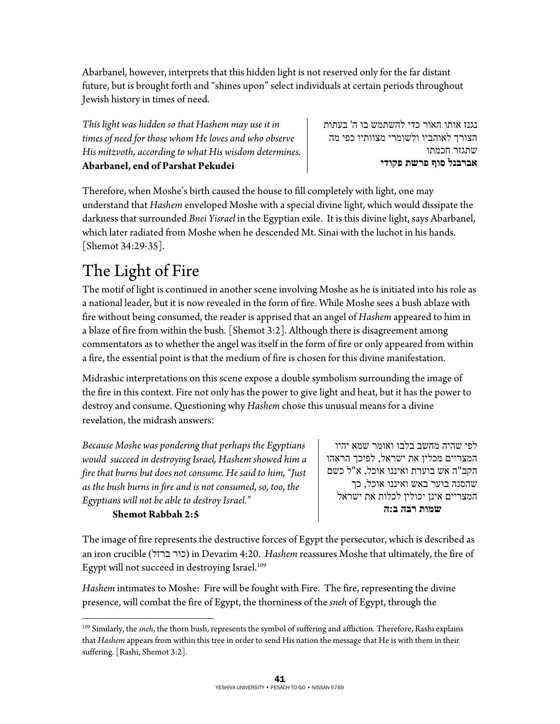Abarbanel, however, interprets that this hidden light is not reserved only for the far distant future, but is brought forth and "shines upon" select individuals at certain periods throughout Jewish history in times of need.

*This light was hidden so that Hashem may use it in times of need for those whom He loves and who observe His mitzvoth, according to what His wisdom determines.* **Abarbanel, end of Parshat Pekudei**

נגנז אותו האור כדי להשתמש בו ה' בעתות הצורך לאוהביו ולשומרי מצוותיו כפי מה שתגזר חכמתו **אברבנל סוף פרשת פקודי** 

Therefore, when Moshe's birth caused the house to fill completely with light, one may understand that *Hashem* enveloped Moshe with a special divine light, which would dissipate the darkness that surrounded *Bnei Yisrael* in the Egyptian exile. It is this divine light, says Abarbanel, which later radiated from Moshe when he descended Mt. Sinai with the luchot in his hands. [Shemot 34:29-35].

## The Light of Fire

The motif of light is continued in another scene involving Moshe as he is initiated into his role as a national leader, but it is now revealed in the form of fire. While Moshe sees a bush ablaze with fire without being consumed, the reader is apprised that an angel of *Hashem* appeared to him in a blaze of fire from within the bush. [Shemot 3:2]. Although there is disagreement among commentators as to whether the angel was itself in the form of fire or only appeared from within a fire, the essential point is that the medium of fire is chosen for this divine manifestation.

Midrashic interpretations on this scene expose a double symbolism surrounding the image of the fire in this context. Fire not only has the power to give light and heat, but it has the power to destroy and consume. Questioning why *Hashem* chose this unusual means for a divine revelation, the midrash answers:

*Because Moshe was pondering that perhaps the Egyptians would succeed in destroying Israel, Hashem showed him a fire that burns but does not consume. He said to him, "Just as the bush burns in fire and is not consumed, so, too, the Egyptians will not be able to destroy Israel."* 

### **Shemot Rabbah 2:5**

לפי שהיה מחשב בלבו ואומר שמא יהיו המצריים מכלין את ישראל, לפיכך הראהו הקב"ה אש בוערת ואיננו אוכל, א"ל כשם שהסנה בוער באש ואיננו אוכל, כך המצריים אינן יכולין לכלות את ישראל  **שמות רבה ב:ה**

The image of fire represents the destructive forces of Egypt the persecutor, which is described as an iron crucible (ברזל כור (in Devarim 4:20. *Hashem* reassures Moshe that ultimately, the fire of Egypt will not succeed in destroying Israel.<sup>109</sup>

*Hashem* intimates to Moshe: Fire will be fought with Fire. The fire, representing the divine presence, will combat the fire of Egypt, the thorniness of the *sneh* of Egypt, through the

 $\overline{a}$ 109 Similarly, the *sneh*, the thorn bush, represents the symbol of suffering and affliction. Therefore, Rashi explains that *Hashem* appears from within this tree in order to send His nation the message that He is with them in their suffering. [Rashi, Shemot 3:2].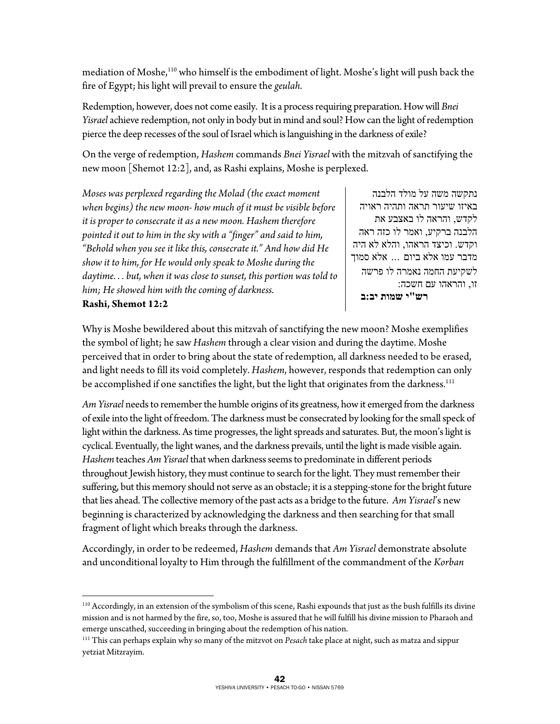mediation of Moshe,110 who himself is the embodiment of light. Moshe's light will push back the fire of Egypt; his light will prevail to ensure the *geulah.*

Redemption, however, does not come easily. It is a process requiring preparation. How will *Bnei Yisrael* achieve redemption, not only in body but in mind and soul? How can the light of redemption pierce the deep recesses of the soul of Israel which is languishing in the darkness of exile?

On the verge of redemption, *Hashem* commands *Bnei Yisrael* with the mitzvah of sanctifying the new moon [Shemot 12:2], and, as Rashi explains, Moshe is perplexed.

*Moses was perplexed regarding the Molad (the exact moment when begins) the new moon- how much of it must be visible before it is proper to consecrate it as a new moon. Hashem therefore pointed it out to him in the sky with a "finger" and said to him, "Behold when you see it like this, consecrate it." And how did He show it to him, for He would only speak to Moshe during the daytime. . . but, when it was close to sunset, this portion was told to him; He showed him with the coming of darkness.*  **Rashi, Shemot 12:2** 

נתקשה משה על מולד הלבנה באיזו שיעור תראה ותהיה ראויה לקדש, והראה לו באצבע את הלבנה ברקיע, ואמר לו כזה ראה וקדש. וכיצד הראהו, והלא לא היה מדבר עמו אלא ביום ... אלא סמוך לשקיעת החמה נאמרה לו פרשה זו, והראהו עם חשכה:  **רש"י שמות יב:ב**

Why is Moshe bewildered about this mitzvah of sanctifying the new moon? Moshe exemplifies the symbol of light; he saw *Hashem* through a clear vision and during the daytime. Moshe perceived that in order to bring about the state of redemption, all darkness needed to be erased, and light needs to fill its void completely. *Hashem*, however, responds that redemption can only be accomplished if one sanctifies the light, but the light that originates from the darkness.<sup>111</sup>

*Am Yisrael* needs to remember the humble origins of its greatness, how it emerged from the darkness of exile into the light of freedom. The darkness must be consecrated by looking for the small speck of light within the darkness. As time progresses, the light spreads and saturates. But, the moon's light is cyclical. Eventually, the light wanes, and the darkness prevails, until the light is made visible again. *Hashem* teaches *Am Yisrael* that when darkness seems to predominate in different periods throughout Jewish history, they must continue to search for the light. They must remember their suffering, but this memory should not serve as an obstacle; it is a stepping-stone for the bright future that lies ahead. The collective memory of the past acts as a bridge to the future. *Am Yisrael*'s new beginning is characterized by acknowledging the darkness and then searching for that small fragment of light which breaks through the darkness.

Accordingly, in order to be redeemed, *Hashem* demands that *Am Yisrael* demonstrate absolute and unconditional loyalty to Him through the fulfillment of the commandment of the *Korban* 

 $\overline{a}$ <sup>110</sup> Accordingly, in an extension of the symbolism of this scene, Rashi expounds that just as the bush fulfills its divine mission and is not harmed by the fire, so, too, Moshe is assured that he will fulfill his divine mission to Pharaoh and emerge unscathed, succeeding in bringing about the redemption of his nation.<br><sup>111</sup> This can perhaps explain why so many of the mitzvot on *Pesach* take place at night, such as matza and sippur

yetziat Mitzrayim.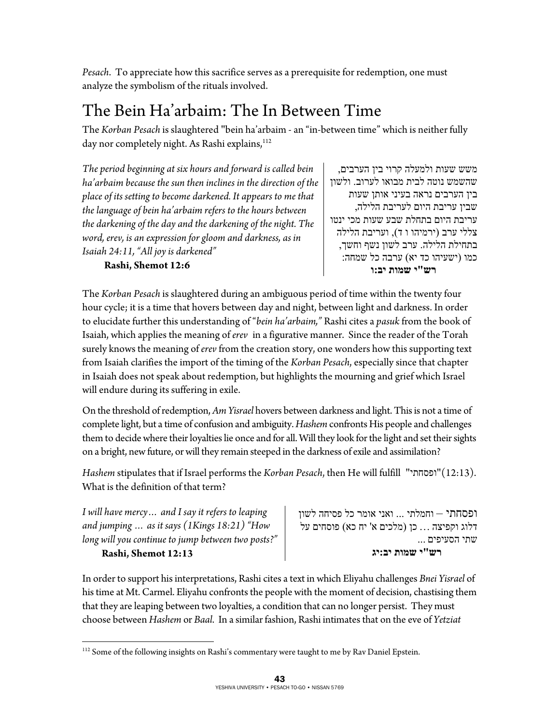*Pesach*. To appreciate how this sacrifice serves as a prerequisite for redemption, one must analyze the symbolism of the rituals involved.

## The Bein Ha'arbaim: The In Between Time

The *Korban Pesach* is slaughtered "bein ha'arbaim - an "in-between time" which is neither fully day nor completely night. As Rashi explains,<sup>112</sup>

*The period beginning at six hours and forward is called bein ha'arbaim because the sun then inclines in the direction of the place of its setting to become darkened. It appears to me that the language of bein ha'arbaim refers to the hours between the darkening of the day and the darkening of the night. The word, erev, is an expression for gloom and darkness, as in Isaiah 24:11, "All joy is darkened"* 

 **Rashi, Shemot 12:6** 

משש שעות ולמעלה קרוי בין הערבים, שהשמש נוטה לבית מבואו לערוב. ולשון בין הערבים נראה בעיני אותן שעות שבין עריבת היום לעריבת הלילה, עריבת היום בתחלת שבע שעות מכי ינטו צללי ערב (ירמיהו ו ד), ועריבת הלילה בתחילת הלילה. ערב לשון נשף וחשך, כמו (ישעיהו כד יא) ערבה כל שמחה:  **רש"י שמות יב:ו**

The *Korban Pesach* is slaughtered during an ambiguous period of time within the twenty four hour cycle; it is a time that hovers between day and night, between light and darkness. In order to elucidate further this understanding of "*bein ha'arbaim,"* Rashi cites a *pasuk* from the book of Isaiah, which applies the meaning of *erev* in a figurative manner. Since the reader of the Torah surely knows the meaning of *erev* from the creation story, one wonders how this supporting text from Isaiah clarifies the import of the timing of the *Korban Pesach*, especially since that chapter in Isaiah does not speak about redemption, but highlights the mourning and grief which Israel will endure during its suffering in exile.

On the threshold of redemption, *Am Yisrael* hovers between darkness and light. This is not a time of complete light, but a time of confusion and ambiguity. *Hashem* confronts His people and challenges them to decide where their loyalties lie once and for all. Will they look for the light and set their sights on a bright, new future, or will they remain steeped in the darkness of exile and assimilation?

*Hashem* stipulates that if Israel performs the *Korban Pesach*, then He will fulfill "ופסחתי)"12:13(. What is the definition of that term?

*I will have mercy… and I say it refers to leaping and jumping … as it says (1Kings 18:21) "How long will you continue to jump between two posts?"*   **Rashi, Shemot 12:13** 

 $\overline{a}$ 

ופסחתי – וחמלתי ... ואני אומר כל פסיחה לשון דלוג וקפיצה ... כן (מלכים א' יח כא) פוסחים על שתי הסעיפים ...  **רש"י שמות יב:יג**

In order to support his interpretations, Rashi cites a text in which Eliyahu challenges *Bnei Yisrael* of his time at Mt. Carmel. Eliyahu confronts the people with the moment of decision, chastising them that they are leaping between two loyalties, a condition that can no longer persist. They must choose between *Hashem* or *Baal*. In a similar fashion, Rashi intimates that on the eve of *Yetziat* 

 $^{112}$  Some of the following insights on Rashi's commentary were taught to me by Rav Daniel Epstein.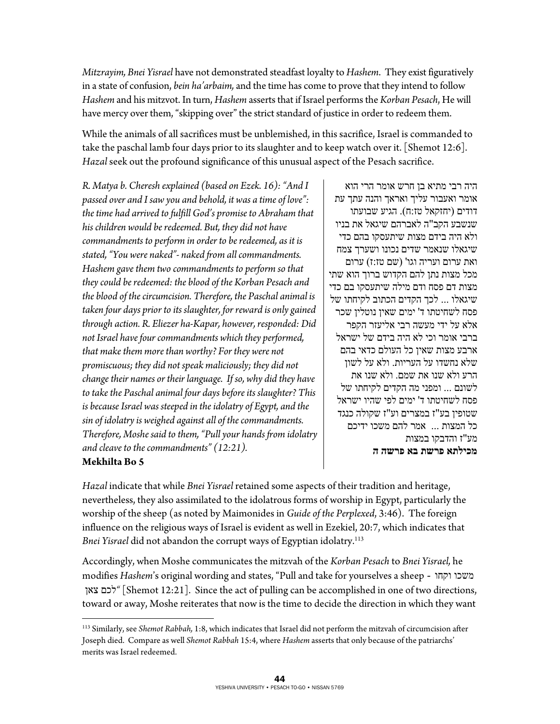*Mitzrayim, Bnei Yisrael* have not demonstrated steadfast loyalty to *Hashem*. They exist figuratively in a state of confusion, *bein ha'arbaim,* and the time has come to prove that they intend to follow *Hashem* and his mitzvot. In turn, *Hashem* asserts that if Israel performs the *Korban Pesach*, He will have mercy over them, "skipping over" the strict standard of justice in order to redeem them.

While the animals of all sacrifices must be unblemished, in this sacrifice, Israel is commanded to take the paschal lamb four days prior to its slaughter and to keep watch over it. [Shemot 12:6]. *Hazal* seek out the profound significance of this unusual aspect of the Pesach sacrifice.

*R. Matya b. Cheresh explained (based on Ezek. 16): "And I passed over and I saw you and behold, it was a time of love": the time had arrived to fulfill God's promise to Abraham that his children would be redeemed. But, they did not have commandments to perform in order to be redeemed, as it is stated, "You were naked"- naked from all commandments. Hashem gave them two commandments to perform so that they could be redeemed: the blood of the Korban Pesach and the blood of the circumcision. Therefore, the Paschal animal is taken four days prior to its slaughter, for reward is only gained through action. R. Eliezer ha-Kapar, however, responded: Did not Israel have four commandments which they performed, that make them more than worthy? For they were not promiscuous; they did not speak maliciously; they did not change their names or their language. If so, why did they have to take the Paschal animal four days before its slaughter? This is because Israel was steeped in the idolatry of Egypt, and the sin of idolatry is weighed against all of the commandments. Therefore, Moshe said to them, "Pull your hands from idolatry and cleave to the commandments" (12:21).* 

היה רבי מתיא בן חרש אומר הרי הוא אומר ואעבור עליך ואראך והנה עתך עת דודים (יחזקאל טז:ח). הגיע שבועתו שנשבע הקב"ה לאברהם שיגאל את בניו ולא היה בידם מצות שיתעסקו בהם כדי שיגאלו שנאמר שדים נכונו ושערך צמח ואת ערום ועריה וגו' (שם טז:ז) ערום מכל מצות נתן להם הקדוש ברוך הוא שתי מצות דם פסח ודם מילה שיתעסקו בם כדי שיגאלו ... לכך הקדים הכתוב לקיחתו של פסח לשחיטתו ד' ימים שאין נוטלין שכר אלא על ידי מעשה רבי אליעזר הקפר ברבי אומר וכי לא היה בידם של ישראל ארבע מצות שאין כל העולם כדאי בהם שלא נחשדו על העריות. ולא על לשון הרע ולא שנו את שמם. ולא שנו את לשונם ... ומפני מה הקדים לקיחתו של פסח לשחיטתו ד' ימים לפי שהיו ישראל שטופין בע"ז במצרים וע"ז שקולה כנגד כל המצות ... אמר להם משכו ידיכם מע"ז והדבקו במצות **מכילתא פרשת בא פרשה ה**

#### **Mekhilta Bo 5**

*Hazal* indicate that while *Bnei Yisrael* retained some aspects of their tradition and heritage, nevertheless, they also assimilated to the idolatrous forms of worship in Egypt, particularly the worship of the sheep (as noted by Maimonides in *Guide of the Perplexed*, 3:46). The foreign influence on the religious ways of Israel is evident as well in Ezekiel, 20:7, which indicates that *Bnei Yisrael* did not abandon the corrupt ways of Egyptian idolatry.113

Accordingly, when Moshe communicates the mitzvah of the *Korban Pesach* to *Bnei Yisrael,* he modifies *Hashem*'s original wording and states, "Pull and take for yourselves a sheep - וקחו משכו צאן לכם] *"*Shemot 12:21]. Since the act of pulling can be accomplished in one of two directions, toward or away, Moshe reiterates that now is the time to decide the direction in which they want

<sup>1</sup> 113 Similarly, see *Shemot Rabbah,* 1:8, which indicates that Israel did not perform the mitzvah of circumcision after Joseph died. Compare as well *Shemot Rabbah* 15:4, where *Hashem* asserts that only because of the patriarchs' merits was Israel redeemed.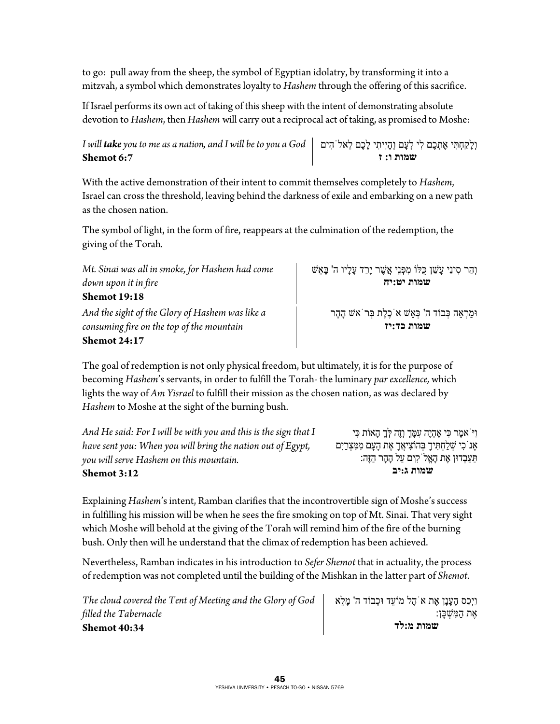to go: pull away from the sheep, the symbol of Egyptian idolatry, by transforming it into a mitzvah, a symbol which demonstrates loyalty to *Hashem* through the offering of this sacrifice.

If Israel performs its own act of taking of this sheep with the intent of demonstrating absolute devotion to *Hashem*, then *Hashem* will carry out a reciprocal act of taking, as promised to Moshe:

*I will take you to me as a nation, and I will be to you a God* וְלָקַחְתִּי אֶתְכֶם לִי לְעָם וְהָיִיתִי לָכֶם לֵאלֹהִים **Shemot 6:7 שמות ו: ז**

With the active demonstration of their intent to commit themselves completely to *Hashem*, Israel can cross the threshold, leaving behind the darkness of exile and embarking on a new path as the chosen nation.

The symbol of light, in the form of fire, reappears at the culmination of the redemption, the giving of the Torah*.* 

*Mt. Sinai was all in smoke, for Hashem had come down upon it in fire*  **Shemot 19:18** *And the sight of the Glory of Hashem was like a consuming fire on the top of the mountain*

**Shemot 24:17**

 **שמות כד:יז** The goal of redemption is not only physical freedom, but ultimately, it is for the purpose of

becoming *Hashem*'s servants, in order to fulfill the Torah- the luminary *par excellence,* which lights the way of *Am Yisrael* to fulfill their mission as the chosen nation, as was declared by *Hashem* to Moshe at the sight of the burning bush.

*And He said: For I will be with you and this is the sign that I have sent you: When you will bring the nation out of Egypt, you will serve Hashem on this mountain.*  **Shemot 3:12** 

וַיֹּאמֶר כִּי אֶהְיֶה עִמְָּך וְזֶה לְָּך הָאוֹת כִּי אָנ<sup>ֹ</sup>כִי שְׁלַחְתִּיךָ בְּהוֹצִיאֲךָ אֶת הָעָם מִמִּצְרַיִם תַּעַבְדוּן אֶת הָאֱלֹקִים עַל הָהָר הַזֶּה:  **שמות ג:יב**

וְהַר סִינַי עָשַׁ ן כֻּלּוֹ מִפְּנֵי אֲשֶׁ ר יָרַד עָלָיו ה' בָּאֵשׁ

וּמַרְאֵה כְּבוֹד ה' כְּאֵשׁ אֹכֶלֶת בְּרֹאשׁ הָהָר

 **שמות יט:יח**

Explaining *Hashem*'s intent, Ramban clarifies that the incontrovertible sign of Moshe's success in fulfilling his mission will be when he sees the fire smoking on top of Mt. Sinai. That very sight which Moshe will behold at the giving of the Torah will remind him of the fire of the burning bush. Only then will he understand that the climax of redemption has been achieved.

Nevertheless, Ramban indicates in his introduction to *Sefer Shemot* that in actuality, the process of redemption was not completed until the building of the Mishkan in the latter part of *Shemot*.

| The cloud covered the Tent of Meeting and the Glory of God | וַיְכַס הֶעָנָן אֶת א הֶל מוֹעֵד וּכִבוֹד ה' מַלֵא |
|------------------------------------------------------------|----------------------------------------------------|
| filled the Tabernacle                                      | ּאֵת הַמְּשִׁכֵּן:                                 |
| <b>Shemot 40:34</b>                                        | שמות מ:לד                                          |